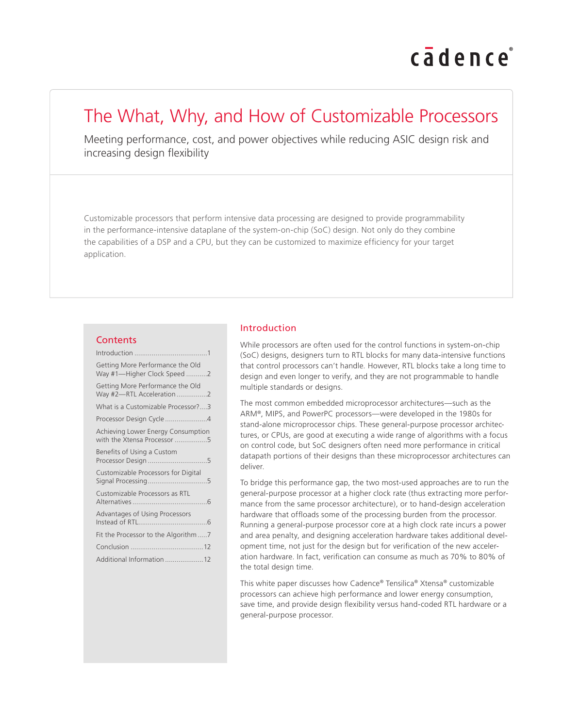# cadence

# The What, Why, and How of Customizable Processors

Meeting performance, cost, and power objectives while reducing ASIC design risk and increasing design flexibility

Customizable processors that perform intensive data processing are designed to provide programmability in the performance-intensive dataplane of the system-on-chip (SoC) design. Not only do they combine the capabilities of a DSP and a CPU, but they can be customized to maximize efficiency for your target application.

#### **Contents**

| Getting More Performance the Old<br>Way #1-Higher Clock Speed 2   |
|-------------------------------------------------------------------|
| Getting More Performance the Old<br>Way #2-RTL Acceleration2      |
| What is a Customizable Processor?3                                |
| Processor Design Cycle4                                           |
| Achieving Lower Energy Consumption<br>with the Xtensa Processor 5 |
| Benefits of Using a Custom                                        |
| Customizable Processors for Digital<br>Signal Processing5         |
| Customizable Processors as RTL                                    |
| Advantages of Using Processors<br>Instead of RTL                  |
| Fit the Processor to the Algorithm 7                              |
|                                                                   |
| Additional Information 12                                         |

# Introduction

While processors are often used for the control functions in system-on-chip (SoC) designs, designers turn to RTL blocks for many data-intensive functions that control processors can't handle. However, RTL blocks take a long time to design and even longer to verify, and they are not programmable to handle multiple standards or designs.

The most common embedded microprocessor architectures—such as the ARM®, MIPS, and PowerPC processors—were developed in the 1980s for stand-alone microprocessor chips. These general-purpose processor architectures, or CPUs, are good at executing a wide range of algorithms with a focus on control code, but SoC designers often need more performance in critical datapath portions of their designs than these microprocessor architectures can deliver.

To bridge this performance gap, the two most-used approaches are to run the general-purpose processor at a higher clock rate (thus extracting more performance from the same processor architecture), or to hand-design acceleration hardware that offloads some of the processing burden from the processor. Running a general-purpose processor core at a high clock rate incurs a power and area penalty, and designing acceleration hardware takes additional development time, not just for the design but for verification of the new acceleration hardware. In fact, verification can consume as much as 70% to 80% of the total design time.

This white paper discusses how Cadence® Tensilica® Xtensa® customizable processors can achieve high performance and lower energy consumption, save time, and provide design flexibility versus hand-coded RTL hardware or a general-purpose processor.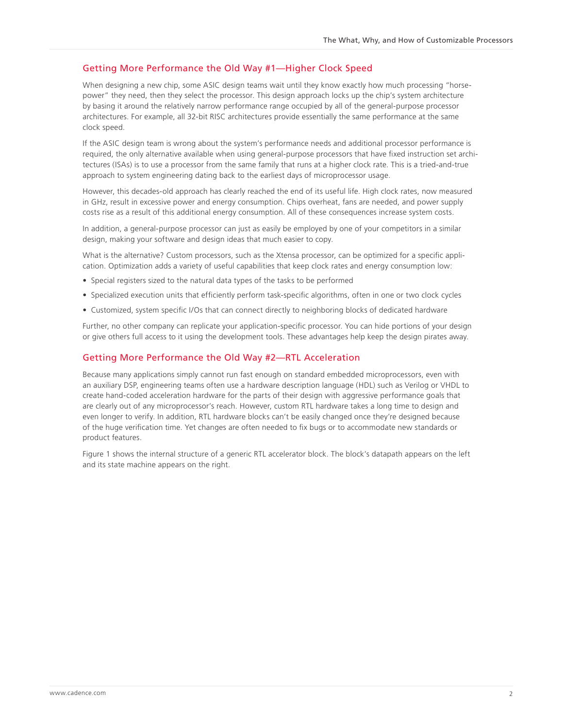# <span id="page-1-0"></span>Getting More Performance the Old Way #1—Higher Clock Speed

When designing a new chip, some ASIC design teams wait until they know exactly how much processing "horsepower" they need, then they select the processor. This design approach locks up the chip's system architecture by basing it around the relatively narrow performance range occupied by all of the general-purpose processor architectures. For example, all 32-bit RISC architectures provide essentially the same performance at the same clock speed.

If the ASIC design team is wrong about the system's performance needs and additional processor performance is required, the only alternative available when using general-purpose processors that have fixed instruction set architectures (ISAs) is to use a processor from the same family that runs at a higher clock rate. This is a tried-and-true approach to system engineering dating back to the earliest days of microprocessor usage.

However, this decades-old approach has clearly reached the end of its useful life. High clock rates, now measured in GHz, result in excessive power and energy consumption. Chips overheat, fans are needed, and power supply costs rise as a result of this additional energy consumption. All of these consequences increase system costs.

In addition, a general-purpose processor can just as easily be employed by one of your competitors in a similar design, making your software and design ideas that much easier to copy.

What is the alternative? Custom processors, such as the Xtensa processor, can be optimized for a specific application. Optimization adds a variety of useful capabilities that keep clock rates and energy consumption low:

- Special registers sized to the natural data types of the tasks to be performed
- Specialized execution units that efficiently perform task-specific algorithms, often in one or two clock cycles
- Customized, system specific I/Os that can connect directly to neighboring blocks of dedicated hardware

Further, no other company can replicate your application-specific processor. You can hide portions of your design or give others full access to it using the development tools. These advantages help keep the design pirates away.

## Getting More Performance the Old Way #2—RTL Acceleration

Because many applications simply cannot run fast enough on standard embedded microprocessors, even with an auxiliary DSP, engineering teams often use a hardware description language (HDL) such as Verilog or VHDL to create hand-coded acceleration hardware for the parts of their design with aggressive performance goals that are clearly out of any microprocessor's reach. However, custom RTL hardware takes a long time to design and even longer to verify. In addition, RTL hardware blocks can't be easily changed once they're designed because of the huge verification time. Yet changes are often needed to fix bugs or to accommodate new standards or product features.

Figure 1 shows the internal structure of a generic RTL accelerator block. The block's datapath appears on the left and its state machine appears on the right.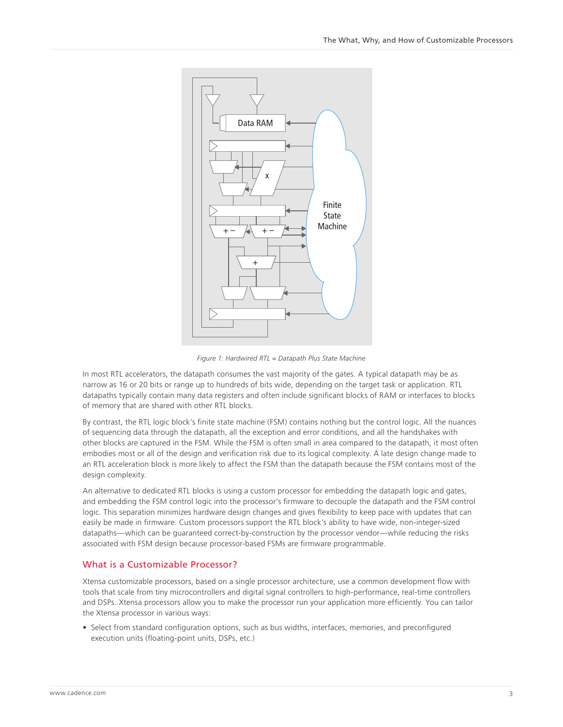<span id="page-2-0"></span>

*Figure 1: Hardwired RTL = Datapath Plus State Machine*

In most RTL accelerators, the datapath consumes the vast majority of the gates. A typical datapath may be as narrow as 16 or 20 bits or range up to hundreds of bits wide, depending on the target task or application. RTL datapaths typically contain many data registers and often include significant blocks of RAM or interfaces to blocks of memory that are shared with other RTL blocks.

By contrast, the RTL logic block's finite state machine (FSM) contains nothing but the control logic. All the nuances of sequencing data through the datapath, all the exception and error conditions, and all the handshakes with other blocks are captured in the FSM. While the FSM is often small in area compared to the datapath, it most often embodies most or all of the design and verification risk due to its logical complexity. A late design change made to an RTL acceleration block is more likely to affect the FSM than the datapath because the FSM contains most of the design complexity.

An alternative to dedicated RTL blocks is using a custom processor for embedding the datapath logic and gates, and embedding the FSM control logic into the processor's firmware to decouple the datapath and the FSM control logic. This separation minimizes hardware design changes and gives flexibility to keep pace with updates that can easily be made in firmware. Custom processors support the RTL block's ability to have wide, non-integer-sized datapaths—which can be guaranteed correct-by-construction by the processor vendor—while reducing the risks associated with FSM design because processor-based FSMs are firmware programmable.

#### What is a Customizable Processor?

Xtensa customizable processors, based on a single processor architecture, use a common development flow with tools that scale from tiny microcontrollers and digital signal controllers to high-performance, real-time controllers and DSPs. Xtensa processors allow you to make the processor run your application more efficiently. You can tailor the Xtensa processor in various ways:

• Select from standard configuration options, such as bus widths, interfaces, memories, and preconfigured execution units (floating-point units, DSPs, etc.)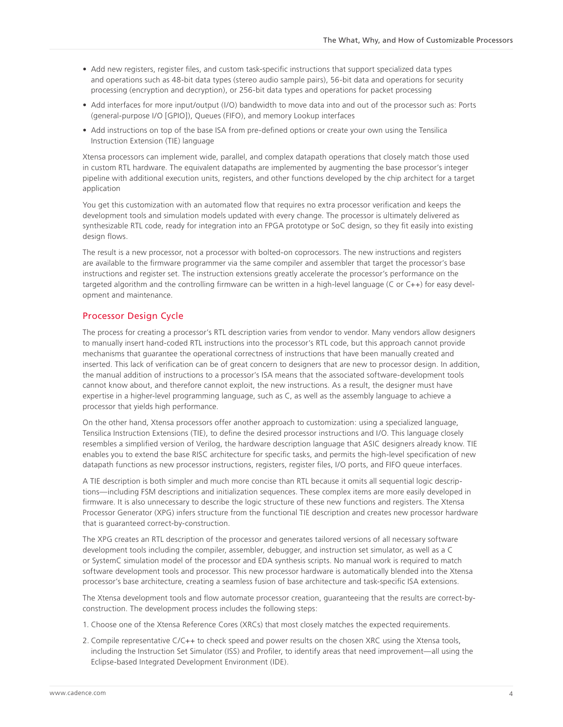- <span id="page-3-0"></span>• Add new registers, register files, and custom task-specific instructions that support specialized data types and operations such as 48-bit data types (stereo audio sample pairs), 56-bit data and operations for security processing (encryption and decryption), or 256-bit data types and operations for packet processing
- Add interfaces for more input/output (I/O) bandwidth to move data into and out of the processor such as: Ports (general-purpose I/O [GPIO]), Queues (FIFO), and memory Lookup interfaces
- Add instructions on top of the base ISA from pre-defined options or create your own using the Tensilica Instruction Extension (TIE) language

Xtensa processors can implement wide, parallel, and complex datapath operations that closely match those used in custom RTL hardware. The equivalent datapaths are implemented by augmenting the base processor's integer pipeline with additional execution units, registers, and other functions developed by the chip architect for a target application

You get this customization with an automated flow that requires no extra processor verification and keeps the development tools and simulation models updated with every change. The processor is ultimately delivered as synthesizable RTL code, ready for integration into an FPGA prototype or SoC design, so they fit easily into existing design flows.

The result is a new processor, not a processor with bolted-on coprocessors. The new instructions and registers are available to the firmware programmer via the same compiler and assembler that target the processor's base instructions and register set. The instruction extensions greatly accelerate the processor's performance on the targeted algorithm and the controlling firmware can be written in a high-level language (C or C++) for easy development and maintenance.

# Processor Design Cycle

The process for creating a processor's RTL description varies from vendor to vendor. Many vendors allow designers to manually insert hand-coded RTL instructions into the processor's RTL code, but this approach cannot provide mechanisms that guarantee the operational correctness of instructions that have been manually created and inserted. This lack of verification can be of great concern to designers that are new to processor design. In addition, the manual addition of instructions to a processor's ISA means that the associated software-development tools cannot know about, and therefore cannot exploit, the new instructions. As a result, the designer must have expertise in a higher-level programming language, such as C, as well as the assembly language to achieve a processor that yields high performance.

On the other hand, Xtensa processors offer another approach to customization: using a specialized language, Tensilica Instruction Extensions (TIE), to define the desired processor instructions and I/O. This language closely resembles a simplified version of Verilog, the hardware description language that ASIC designers already know. TIE enables you to extend the base RISC architecture for specific tasks, and permits the high-level specification of new datapath functions as new processor instructions, registers, register files, I/O ports, and FIFO queue interfaces.

A TIE description is both simpler and much more concise than RTL because it omits all sequential logic descriptions—including FSM descriptions and initialization sequences. These complex items are more easily developed in firmware. It is also unnecessary to describe the logic structure of these new functions and registers. The Xtensa Processor Generator (XPG) infers structure from the functional TIE description and creates new processor hardware that is guaranteed correct-by-construction.

The XPG creates an RTL description of the processor and generates tailored versions of all necessary software development tools including the compiler, assembler, debugger, and instruction set simulator, as well as a C or SystemC simulation model of the processor and EDA synthesis scripts. No manual work is required to match software development tools and processor. This new processor hardware is automatically blended into the Xtensa processor's base architecture, creating a seamless fusion of base architecture and task-specific ISA extensions.

The Xtensa development tools and flow automate processor creation, guaranteeing that the results are correct-byconstruction. The development process includes the following steps:

- 1. Choose one of the Xtensa Reference Cores (XRCs) that most closely matches the expected requirements.
- 2. Compile representative C/C++ to check speed and power results on the chosen XRC using the Xtensa tools, including the Instruction Set Simulator (ISS) and Profiler, to identify areas that need improvement—all using the Eclipse-based Integrated Development Environment (IDE).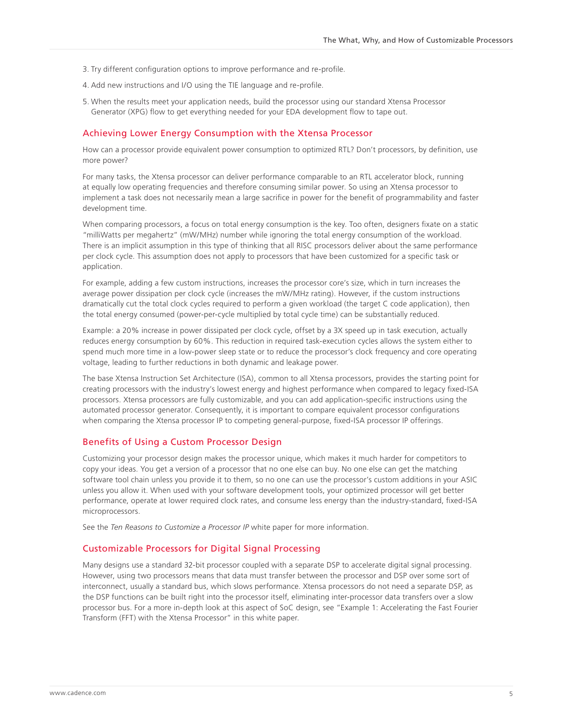- <span id="page-4-0"></span>3. Try different configuration options to improve performance and re-profile.
- 4. Add new instructions and I/O using the TIE language and re-profile.
- 5. When the results meet your application needs, build the processor using our standard Xtensa Processor Generator (XPG) flow to get everything needed for your EDA development flow to tape out.

#### Achieving Lower Energy Consumption with the Xtensa Processor

How can a processor provide equivalent power consumption to optimized RTL? Don't processors, by definition, use more power?

For many tasks, the Xtensa processor can deliver performance comparable to an RTL accelerator block, running at equally low operating frequencies and therefore consuming similar power. So using an Xtensa processor to implement a task does not necessarily mean a large sacrifice in power for the benefit of programmability and faster development time.

When comparing processors, a focus on total energy consumption is the key. Too often, designers fixate on a static "milliWatts per megahertz" (mW/MHz) number while ignoring the total energy consumption of the workload. There is an implicit assumption in this type of thinking that all RISC processors deliver about the same performance per clock cycle. This assumption does not apply to processors that have been customized for a specific task or application.

For example, adding a few custom instructions, increases the processor core's size, which in turn increases the average power dissipation per clock cycle (increases the mW/MHz rating). However, if the custom instructions dramatically cut the total clock cycles required to perform a given workload (the target C code application), then the total energy consumed (power-per-cycle multiplied by total cycle time) can be substantially reduced.

Example: a 20% increase in power dissipated per clock cycle, offset by a 3X speed up in task execution, actually reduces energy consumption by 60%. This reduction in required task-execution cycles allows the system either to spend much more time in a low-power sleep state or to reduce the processor's clock frequency and core operating voltage, leading to further reductions in both dynamic and leakage power.

The base Xtensa Instruction Set Architecture (ISA), common to all Xtensa processors, provides the starting point for creating processors with the industry's lowest energy and highest performance when compared to legacy fixed-ISA processors. Xtensa processors are fully customizable, and you can add application-specific instructions using the automated processor generator. Consequently, it is important to compare equivalent processor configurations when comparing the Xtensa processor IP to competing general-purpose, fixed-ISA processor IP offerings.

#### Benefits of Using a Custom Processor Design

Customizing your processor design makes the processor unique, which makes it much harder for competitors to copy your ideas. You get a version of a processor that no one else can buy. No one else can get the matching software tool chain unless you provide it to them, so no one can use the processor's custom additions in your ASIC unless you allow it. When used with your software development tools, your optimized processor will get better performance, operate at lower required clock rates, and consume less energy than the industry-standard, fixed-ISA microprocessors.

See the *Ten Reasons to Customize a Processor IP* white paper for more information.

## Customizable Processors for Digital Signal Processing

Many designs use a standard 32-bit processor coupled with a separate DSP to accelerate digital signal processing. However, using two processors means that data must transfer between the processor and DSP over some sort of interconnect, usually a standard bus, which slows performance. Xtensa processors do not need a separate DSP, as the DSP functions can be built right into the processor itself, eliminating inter-processor data transfers over a slow processor bus. For a more in-depth look at this aspect of SoC design, see "Example 1: Accelerating the Fast Fourier Transform (FFT) with the Xtensa Processor" in this white paper.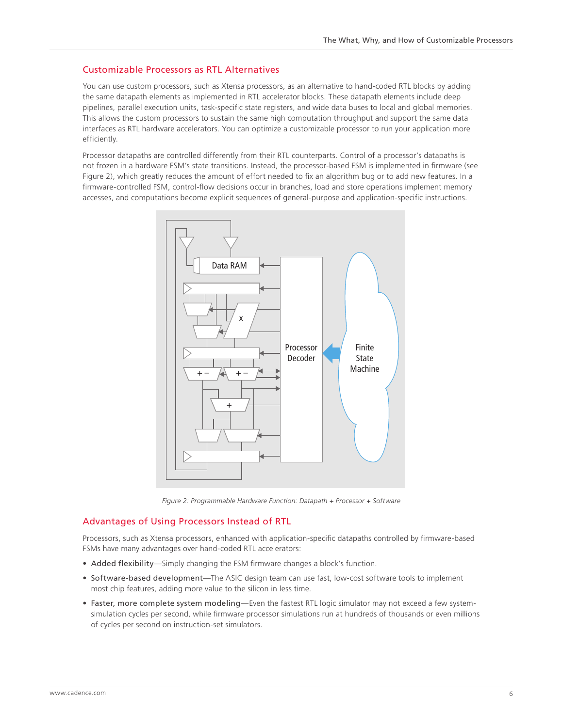# <span id="page-5-0"></span>Customizable Processors as RTL Alternatives

You can use custom processors, such as Xtensa processors, as an alternative to hand-coded RTL blocks by adding the same datapath elements as implemented in RTL accelerator blocks. These datapath elements include deep pipelines, parallel execution units, task-specific state registers, and wide data buses to local and global memories. This allows the custom processors to sustain the same high computation throughput and support the same data interfaces as RTL hardware accelerators. You can optimize a customizable processor to run your application more efficiently.

Processor datapaths are controlled differently from their RTL counterparts. Control of a processor's datapaths is not frozen in a hardware FSM's state transitions. Instead, the processor-based FSM is implemented in firmware (see Figure 2), which greatly reduces the amount of effort needed to fix an algorithm bug or to add new features. In a firmware-controlled FSM, control-flow decisions occur in branches, load and store operations implement memory accesses, and computations become explicit sequences of general-purpose and application-specific instructions.



*Figure 2: Programmable Hardware Function: Datapath + Processor + Software*

# Advantages of Using Processors Instead of RTL

Processors, such as Xtensa processors, enhanced with application-specific datapaths controlled by firmware-based FSMs have many advantages over hand-coded RTL accelerators:

- Added flexibility—Simply changing the FSM firmware changes a block's function.
- Software-based development—The ASIC design team can use fast, low-cost software tools to implement most chip features, adding more value to the silicon in less time.
- Faster, more complete system modeling—Even the fastest RTL logic simulator may not exceed a few systemsimulation cycles per second, while firmware processor simulations run at hundreds of thousands or even millions of cycles per second on instruction-set simulators.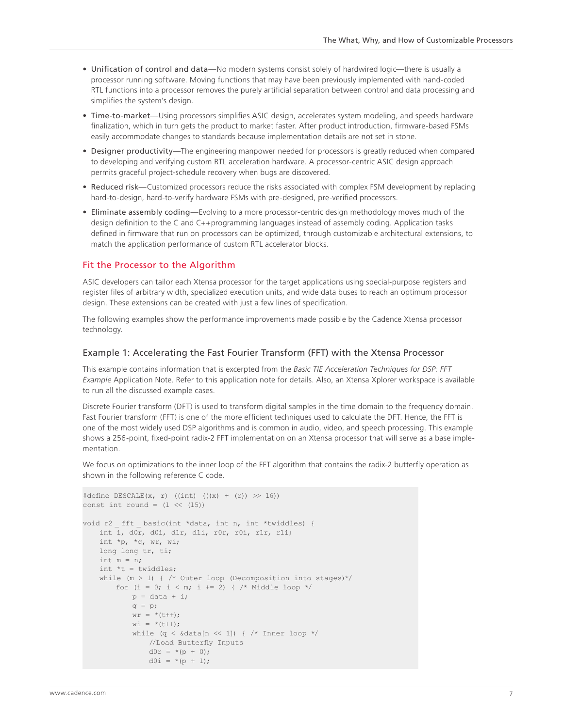- <span id="page-6-0"></span>• Unification of control and data—No modern systems consist solely of hardwired logic—there is usually a processor running software. Moving functions that may have been previously implemented with hand-coded RTL functions into a processor removes the purely artificial separation between control and data processing and simplifies the system's design.
- Time-to-market—Using processors simplifies ASIC design, accelerates system modeling, and speeds hardware finalization, which in turn gets the product to market faster. After product introduction, firmware-based FSMs easily accommodate changes to standards because implementation details are not set in stone.
- Designer productivity—The engineering manpower needed for processors is greatly reduced when compared to developing and verifying custom RTL acceleration hardware. A processor-centric ASIC design approach permits graceful project-schedule recovery when bugs are discovered.
- Reduced risk—Customized processors reduce the risks associated with complex FSM development by replacing hard-to-design, hard-to-verify hardware FSMs with pre-designed, pre-verified processors.
- Eliminate assembly coding—Evolving to a more processor-centric design methodology moves much of the design definition to the C and C++programming languages instead of assembly coding. Application tasks defined in firmware that run on processors can be optimized, through customizable architectural extensions, to match the application performance of custom RTL accelerator blocks.

#### Fit the Processor to the Algorithm

ASIC developers can tailor each Xtensa processor for the target applications using special-purpose registers and register files of arbitrary width, specialized execution units, and wide data buses to reach an optimum processor design. These extensions can be created with just a few lines of specification.

The following examples show the performance improvements made possible by the Cadence Xtensa processor technology.

### Example 1: Accelerating the Fast Fourier Transform (FFT) with the Xtensa Processor

This example contains information that is excerpted from the *Basic TIE Acceleration Techniques for DSP: FFT Example* Application Note. Refer to this application note for details. Also, an Xtensa Xplorer workspace is available to run all the discussed example cases.

Discrete Fourier transform (DFT) is used to transform digital samples in the time domain to the frequency domain. Fast Fourier transform (FFT) is one of the more efficient techniques used to calculate the DFT. Hence, the FFT is one of the most widely used DSP algorithms and is common in audio, video, and speech processing. This example shows a 256-point, fixed-point radix-2 FFT implementation on an Xtensa processor that will serve as a base implementation.

We focus on optimizations to the inner loop of the FFT algorithm that contains the radix-2 butterfly operation as shown in the following reference C code.

```
#define DESCALE(x, r) ((int) (((x) + (r)) >> 16))
const int round = (1 \ll (15))void r2 fft basic(int *data, int n, int *twiddles) {
   int i, d0r, d0i, d1r, d1i, r0r, r0i, r1r, r1i; 
   int *p, *q, wr, wi; 
   long long tr, ti; 
   int m = n; 
   int *t = twiddles;while (m > 1) { /* Outer loop (Decomposition into stages)*/
        for (i = 0; i < m; i += 2) { /* Middle loop */
          p = data + i;q = p;wr = * (t++);
           w\dot{1} = * (t++);
            while (q \lt \& data[n \lt\lt 1]) { /* Inner loop *///Load Butterfly Inputs 
               d0r = * (p + 0);d0i = *(p + 1);
```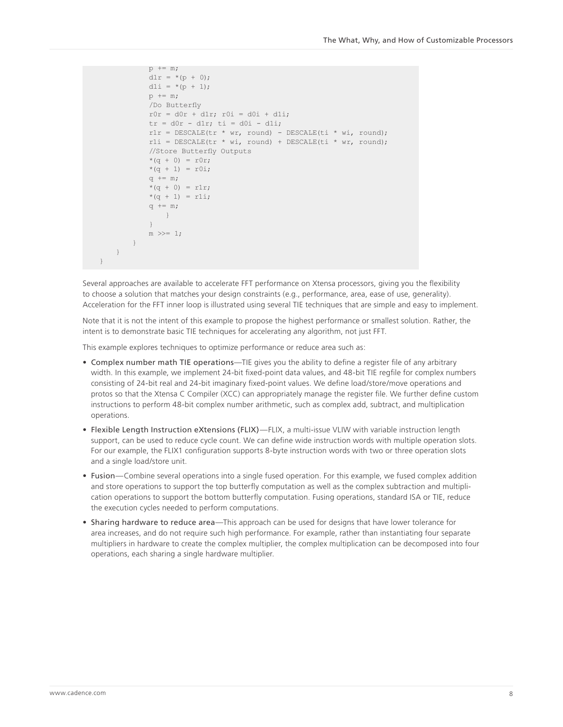```
p += m;
           dlr = * (p + 0);d1i = *(p + 1);p += m; 
           /Do Butterfly 
           r0r = d0r + d1r; r0i = d0i + d1i;
           tr = d0r - d1r; ti = d0i - d1i;
           r1r = DESCALE(tr * wr, round) - DESCALE(ti * wi, round);
           r1i = DESCALE(tr * wi, round) + DESCALE(ti * wr, round);//Store Butterfly Outputs 
           *(q + 0) = r0r;*(q + 1) = r0i;q += m;
           *(q + 0) = r1r;*(q + 1) = r1i;q += m;} 
           } 
           m \gg = 1;
       } 
   }
}
```
Several approaches are available to accelerate FFT performance on Xtensa processors, giving you the flexibility to choose a solution that matches your design constraints (e.g., performance, area, ease of use, generality). Acceleration for the FFT inner loop is illustrated using several TIE techniques that are simple and easy to implement.

Note that it is not the intent of this example to propose the highest performance or smallest solution. Rather, the intent is to demonstrate basic TIE techniques for accelerating any algorithm, not just FFT.

This example explores techniques to optimize performance or reduce area such as:

- Complex number math TIE operations—TIE gives you the ability to define a register file of any arbitrary width. In this example, we implement 24-bit fixed-point data values, and 48-bit TIE regfile for complex numbers consisting of 24-bit real and 24-bit imaginary fixed-point values. We define load/store/move operations and protos so that the Xtensa C Compiler (XCC) can appropriately manage the register file. We further define custom instructions to perform 48-bit complex number arithmetic, such as complex add, subtract, and multiplication operations.
- Flexible Length Instruction eXtensions (FLIX)—FLIX, a multi-issue VLIW with variable instruction length support, can be used to reduce cycle count. We can define wide instruction words with multiple operation slots. For our example, the FLIX1 configuration supports 8-byte instruction words with two or three operation slots and a single load/store unit.
- Fusion—Combine several operations into a single fused operation. For this example, we fused complex addition and store operations to support the top butterfly computation as well as the complex subtraction and multiplication operations to support the bottom butterfly computation. Fusing operations, standard ISA or TIE, reduce the execution cycles needed to perform computations.
- Sharing hardware to reduce area—This approach can be used for designs that have lower tolerance for area increases, and do not require such high performance. For example, rather than instantiating four separate multipliers in hardware to create the complex multiplier, the complex multiplication can be decomposed into four operations, each sharing a single hardware multiplier.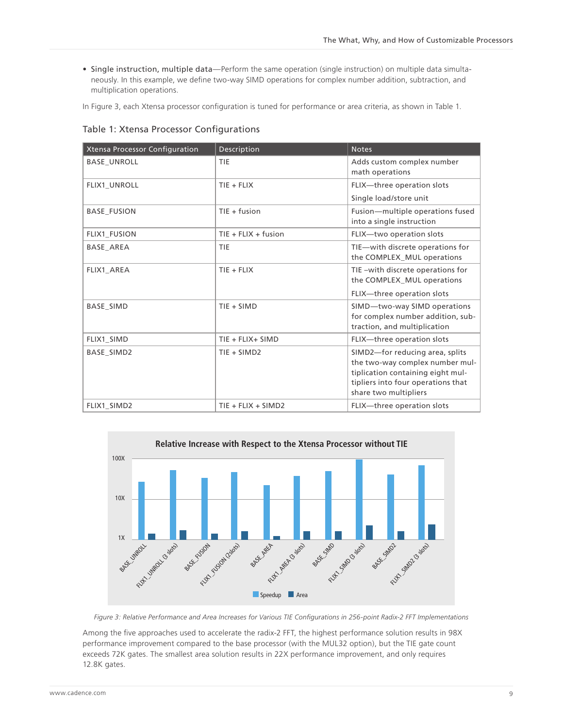• Single instruction, multiple data—Perform the same operation (single instruction) on multiple data simultaneously. In this example, we define two-way SIMD operations for complex number addition, subtraction, and multiplication operations.

In Figure 3, each Xtensa processor configuration is tuned for performance or area criteria, as shown in Table 1.

| <b>Xtensa Processor Configuration</b> | Description           | <b>Notes</b>                                                                                                                                                           |
|---------------------------------------|-----------------------|------------------------------------------------------------------------------------------------------------------------------------------------------------------------|
| <b>BASE_UNROLL</b>                    | <b>TIE</b>            | Adds custom complex number<br>math operations                                                                                                                          |
| FLIX1_UNROLL                          | $TIE + FLIX$          | FLIX-three operation slots                                                                                                                                             |
|                                       |                       | Single load/store unit                                                                                                                                                 |
| <b>BASE FUSION</b>                    | $TIE + fusion$        | Fusion-multiple operations fused<br>into a single instruction                                                                                                          |
| FLIX1 FUSION                          | $TIE + FLIX + fusion$ | FLIX-two operation slots                                                                                                                                               |
| <b>BASE AREA</b>                      | TIE                   | TIE-with discrete operations for<br>the COMPLEX_MUL operations                                                                                                         |
| FLIX1 AREA                            | $TIE + FLIX$          | TIE-with discrete operations for<br>the COMPLEX_MUL operations                                                                                                         |
|                                       |                       | FLIX-three operation slots                                                                                                                                             |
| <b>BASE SIMD</b>                      | $TIE + SIMD$          | SIMD-two-way SIMD operations<br>for complex number addition, sub-<br>traction, and multiplication                                                                      |
| FLIX1 SIMD                            | TIE + FLIX+ SIMD      | FLIX-three operation slots                                                                                                                                             |
| <b>BASE SIMD2</b>                     | TIE + SIMD2           | SIMD2-for reducing area, splits<br>the two-way complex number mul-<br>tiplication containing eight mul-<br>tipliers into four operations that<br>share two multipliers |
| FLIX1 SIMD2                           | $TIE + FLIX + SIMD2$  | FLIX-three operation slots                                                                                                                                             |

Table 1: Xtensa Processor Configurations



*Figure 3: Relative Performance and Area Increases for Various TIE Configurations in 256-point Radix-2 FFT Implementations*

Among the five approaches used to accelerate the radix-2 FFT, the highest performance solution results in 98X performance improvement compared to the base processor (with the MUL32 option), but the TIE gate count exceeds 72K gates. The smallest area solution results in 22X performance improvement, and only requires 12.8K gates.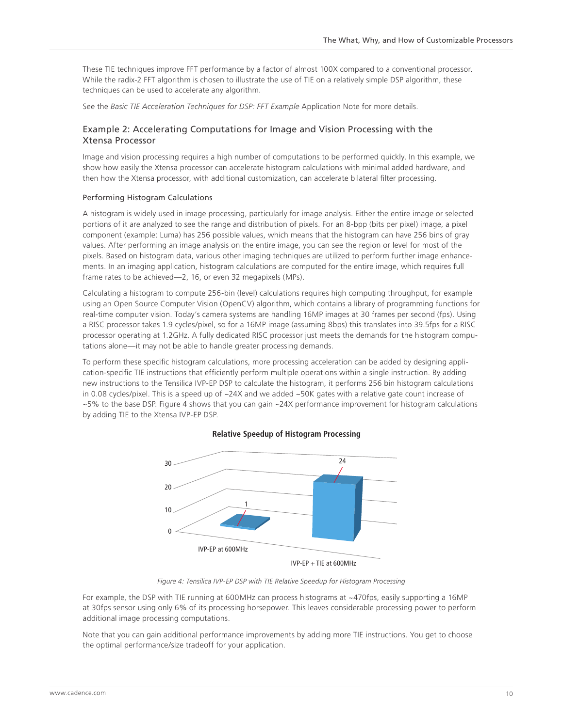These TIE techniques improve FFT performance by a factor of almost 100X compared to a conventional processor. While the radix-2 FFT algorithm is chosen to illustrate the use of TIE on a relatively simple DSP algorithm, these techniques can be used to accelerate any algorithm.

See the *Basic TIE Acceleration Techniques for DSP: FFT Example* Application Note for more details.

# Example 2: Accelerating Computations for Image and Vision Processing with the Xtensa Processor

Image and vision processing requires a high number of computations to be performed quickly. In this example, we show how easily the Xtensa processor can accelerate histogram calculations with minimal added hardware, and then how the Xtensa processor, with additional customization, can accelerate bilateral filter processing.

#### Performing Histogram Calculations

A histogram is widely used in image processing, particularly for image analysis. Either the entire image or selected portions of it are analyzed to see the range and distribution of pixels. For an 8-bpp (bits per pixel) image, a pixel component (example: Luma) has 256 possible values, which means that the histogram can have 256 bins of gray values. After performing an image analysis on the entire image, you can see the region or level for most of the pixels. Based on histogram data, various other imaging techniques are utilized to perform further image enhancements. In an imaging application, histogram calculations are computed for the entire image, which requires full frame rates to be achieved—2, 16, or even 32 megapixels (MPs).

Calculating a histogram to compute 256-bin (level) calculations requires high computing throughput, for example using an Open Source Computer Vision (OpenCV) algorithm, which contains a library of programming functions for real-time computer vision. Today's camera systems are handling 16MP images at 30 frames per second (fps). Using a RISC processor takes 1.9 cycles/pixel, so for a 16MP image (assuming 8bps) this translates into 39.5fps for a RISC processor operating at 1.2GHz. A fully dedicated RISC processor just meets the demands for the histogram computations alone—it may not be able to handle greater processing demands.

To perform these specific histogram calculations, more processing acceleration can be added by designing application-specific TIE instructions that efficiently perform multiple operations within a single instruction. By adding new instructions to the Tensilica IVP-EP DSP to calculate the histogram, it performs 256 bin histogram calculations in 0.08 cycles/pixel. This is a speed up of ~24X and we added ~50K gates with a relative gate count increase of ~5% to the base DSP. Figure 4 shows that you can gain ~24X performance improvement for histogram calculations by adding TIE to the Xtensa IVP-EP DSP.



# **Relative Speedup of Histogram Processing**

*Figure 4: Tensilica IVP-EP DSP with TIE Relative Speedup for Histogram Processing*

For example, the DSP with TIE running at 600MHz can process histograms at ~470fps, easily supporting a 16MP at 30fps sensor using only 6% of its processing horsepower. This leaves considerable processing power to perform additional image processing computations.

Note that you can gain additional performance improvements by adding more TIE instructions. You get to choose the optimal performance/size tradeoff for your application.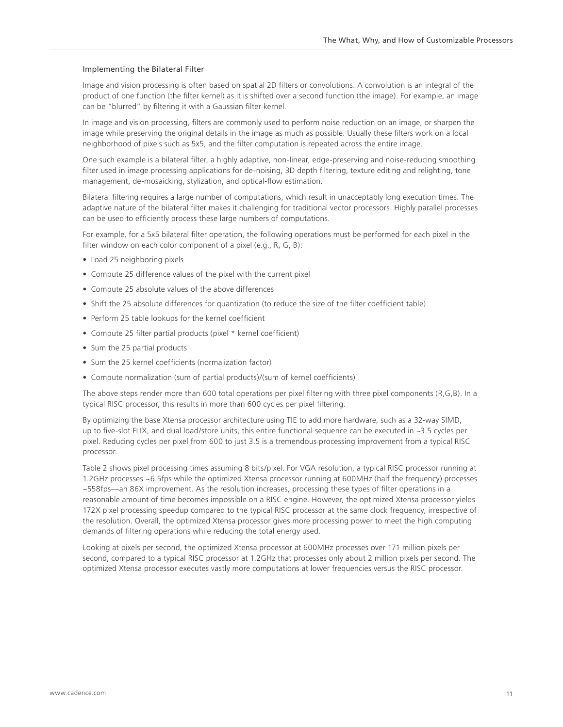#### Implementing the Bilateral Filter

Image and vision processing is often based on spatial 2D filters or convolutions. A convolution is an integral of the product of one function (the filter kernel) as it is shifted over a second function (the image). For example, an image can be "blurred" by filtering it with a Gaussian filter kernel.

In image and vision processing, filters are commonly used to perform noise reduction on an image, or sharpen the image while preserving the original details in the image as much as possible. Usually these filters work on a local neighborhood of pixels such as 5x5, and the filter computation is repeated across the entire image.

One such example is a bilateral filter, a highly adaptive, non-linear, edge-preserving and noise-reducing smoothing filter used in image processing applications for de-noising, 3D depth filtering, texture editing and relighting, tone management, de-mosaicking, stylization, and optical-flow estimation.

Bilateral filtering requires a large number of computations, which result in unacceptably long execution times. The adaptive nature of the bilateral filter makes it challenging for traditional vector processors. Highly parallel processes can be used to efficiently process these large numbers of computations.

For example, for a 5x5 bilateral filter operation, the following operations must be performed for each pixel in the filter window on each color component of a pixel (e.g., R, G, B):

- Load 25 neighboring pixels
- Compute 25 difference values of the pixel with the current pixel
- Compute 25 absolute values of the above differences
- Shift the 25 absolute differences for quantization (to reduce the size of the filter coefficient table)
- Perform 25 table lookups for the kernel coefficient
- Compute 25 filter partial products (pixel \* kernel coefficient)
- Sum the 25 partial products
- Sum the 25 kernel coefficients (normalization factor)
- Compute normalization (sum of partial products)/(sum of kernel coefficients)

The above steps render more than 600 total operations per pixel filtering with three pixel components (R,G,B). In a typical RISC processor, this results in more than 600 cycles per pixel filtering.

By optimizing the base Xtensa processor architecture using TIE to add more hardware, such as a 32-way SIMD, up to five-slot FLIX, and dual load/store units, this entire functional sequence can be executed in ~3.5 cycles per pixel. Reducing cycles per pixel from 600 to just 3.5 is a tremendous processing improvement from a typical RISC processor.

Table 2 shows pixel processing times assuming 8 bits/pixel. For VGA resolution, a typical RISC processor running at 1.2GHz processes ~6.5fps while the optimized Xtensa processor running at 600MHz (half the frequency) processes ~558fps—an 86X improvement. As the resolution increases, processing these types of filter operations in a reasonable amount of time becomes impossible on a RISC engine. However, the optimized Xtensa processor yields 172X pixel processing speedup compared to the typical RISC processor at the same clock frequency, irrespective of the resolution. Overall, the optimized Xtensa processor gives more processing power to meet the high computing demands of filtering operations while reducing the total energy used.

Looking at pixels per second, the optimized Xtensa processor at 600MHz processes over 171 million pixels per second, compared to a typical RISC processor at 1.2GHz that processes only about 2 million pixels per second. The optimized Xtensa processor executes vastly more computations at lower frequencies versus the RISC processor.